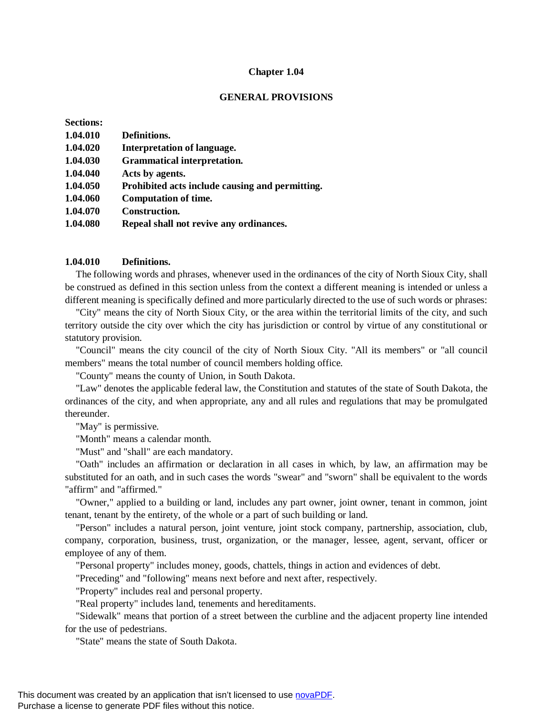#### **Chapter 1.04**

### **GENERAL PROVISIONS**

| <b>Sections:</b> |                                                 |
|------------------|-------------------------------------------------|
| 1.04.010         | Definitions.                                    |
| 1.04.020         | <b>Interpretation of language.</b>              |
| 1.04.030         | <b>Grammatical interpretation.</b>              |
| 1.04.040         | Acts by agents.                                 |
| 1.04.050         | Prohibited acts include causing and permitting. |
| 1.04.060         | <b>Computation of time.</b>                     |
| 1.04.070         | <b>Construction.</b>                            |
| 1.04.080         | Repeal shall not revive any ordinances.         |

### **1.04.010 Definitions.**

The following words and phrases, whenever used in the ordinances of the city of North Sioux City, shall be construed as defined in this section unless from the context a different meaning is intended or unless a different meaning is specifically defined and more particularly directed to the use of such words or phrases:

"City" means the city of North Sioux City, or the area within the territorial limits of the city, and such territory outside the city over which the city has jurisdiction or control by virtue of any constitutional or statutory provision.

"Council" means the city council of the city of North Sioux City. "All its members" or "all council members" means the total number of council members holding office.

"County" means the county of Union, in South Dakota.

"Law" denotes the applicable federal law, the Constitution and statutes of the state of South Dakota, the ordinances of the city, and when appropriate, any and all rules and regulations that may be promulgated thereunder.

"May" is permissive.

"Month" means a calendar month.

"Must" and "shall" are each mandatory.

"Oath" includes an affirmation or declaration in all cases in which, by law, an affirmation may be substituted for an oath, and in such cases the words "swear" and "sworn" shall be equivalent to the words "affirm" and "affirmed."

"Owner," applied to a building or land, includes any part owner, joint owner, tenant in common, joint tenant, tenant by the entirety, of the whole or a part of such building or land.

"Person" includes a natural person, joint venture, joint stock company, partnership, association, club, company, corporation, business, trust, organization, or the manager, lessee, agent, servant, officer or employee of any of them.

"Personal property" includes money, goods, chattels, things in action and evidences of debt.

"Preceding" and "following" means next before and next after, respectively.

"Property" includes real and personal property.

"Real property" includes land, tenements and hereditaments.

"Sidewalk" means that portion of a street between the curbline and the adjacent property line intended for the use of pedestrians.

"State" means the state of South Dakota.